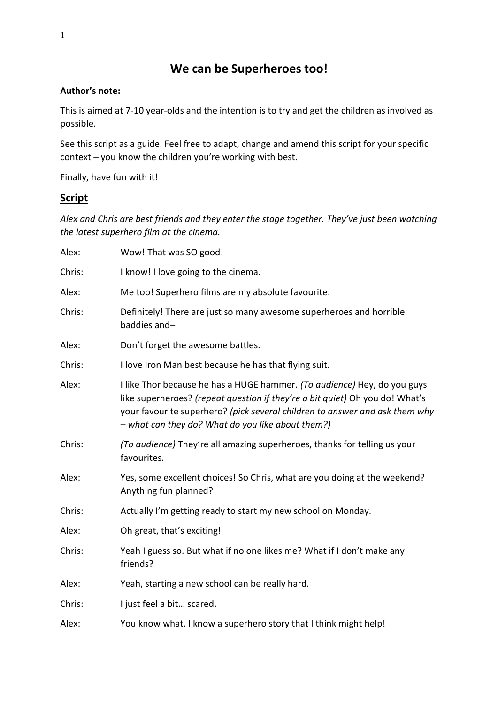# **We can be Superheroes too!**

### **Author's note:**

This is aimed at 7-10 year-olds and the intention is to try and get the children as involved as possible.

See this script as a guide. Feel free to adapt, change and amend this script for your specific context – you know the children you're working with best.

Finally, have fun with it!

## **Script**

*Alex and Chris are best friends and they enter the stage together. They've just been watching the latest superhero film at the cinema.* 

| Wow! That was SO good!                                                                                                                                                                                                                                                                       |
|----------------------------------------------------------------------------------------------------------------------------------------------------------------------------------------------------------------------------------------------------------------------------------------------|
| I know! I love going to the cinema.                                                                                                                                                                                                                                                          |
| Me too! Superhero films are my absolute favourite.                                                                                                                                                                                                                                           |
| Definitely! There are just so many awesome superheroes and horrible<br>baddies and-                                                                                                                                                                                                          |
| Don't forget the awesome battles.                                                                                                                                                                                                                                                            |
| I love Iron Man best because he has that flying suit.                                                                                                                                                                                                                                        |
| I like Thor because he has a HUGE hammer. (To audience) Hey, do you guys<br>like superheroes? (repeat question if they're a bit quiet) Oh you do! What's<br>your favourite superhero? (pick several children to answer and ask them why<br>- what can they do? What do you like about them?) |
| (To audience) They're all amazing superheroes, thanks for telling us your<br>favourites.                                                                                                                                                                                                     |
| Yes, some excellent choices! So Chris, what are you doing at the weekend?<br>Anything fun planned?                                                                                                                                                                                           |
| Actually I'm getting ready to start my new school on Monday.                                                                                                                                                                                                                                 |
| Oh great, that's exciting!                                                                                                                                                                                                                                                                   |
| Yeah I guess so. But what if no one likes me? What if I don't make any<br>friends?                                                                                                                                                                                                           |
| Yeah, starting a new school can be really hard.                                                                                                                                                                                                                                              |
| I just feel a bit scared.                                                                                                                                                                                                                                                                    |
| You know what, I know a superhero story that I think might help!                                                                                                                                                                                                                             |
|                                                                                                                                                                                                                                                                                              |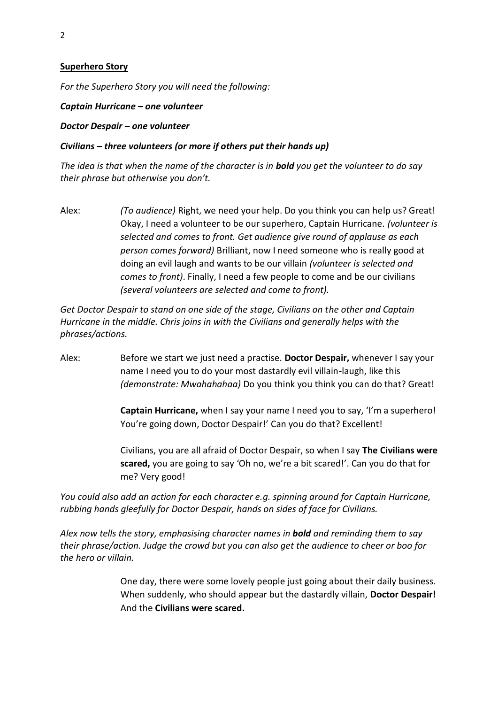#### **Superhero Story**

*For the Superhero Story you will need the following:* 

*Captain Hurricane – one volunteer*

*Doctor Despair – one volunteer*

### *Civilians – three volunteers (or more if others put their hands up)*

*The idea is that when the name of the character is in bold you get the volunteer to do say their phrase but otherwise you don't.*

Alex: *(To audience)* Right, we need your help. Do you think you can help us? Great! Okay, I need a volunteer to be our superhero, Captain Hurricane. *(volunteer is selected and comes to front. Get audience give round of applause as each person comes forward)* Brilliant, now I need someone who is really good at doing an evil laugh and wants to be our villain *(volunteer is selected and comes to front)*. Finally, I need a few people to come and be our civilians *(several volunteers are selected and come to front).* 

*Get Doctor Despair to stand on one side of the stage, Civilians on the other and Captain Hurricane in the middle. Chris joins in with the Civilians and generally helps with the phrases/actions.*

Alex: Before we start we just need a practise. **Doctor Despair,** whenever I say your name I need you to do your most dastardly evil villain-laugh, like this *(demonstrate: Mwahahahaa)* Do you think you think you can do that? Great!

> **Captain Hurricane,** when I say your name I need you to say, 'I'm a superhero! You're going down, Doctor Despair!' Can you do that? Excellent!

> Civilians, you are all afraid of Doctor Despair, so when I say **The Civilians were scared,** you are going to say 'Oh no, we're a bit scared!'. Can you do that for me? Very good!

*You could also add an action for each character e.g. spinning around for Captain Hurricane, rubbing hands gleefully for Doctor Despair, hands on sides of face for Civilians.* 

*Alex now tells the story, emphasising character names in bold and reminding them to say their phrase/action. Judge the crowd but you can also get the audience to cheer or boo for the hero or villain.*

> One day, there were some lovely people just going about their daily business. When suddenly, who should appear but the dastardly villain, **Doctor Despair!**  And the **Civilians were scared.**